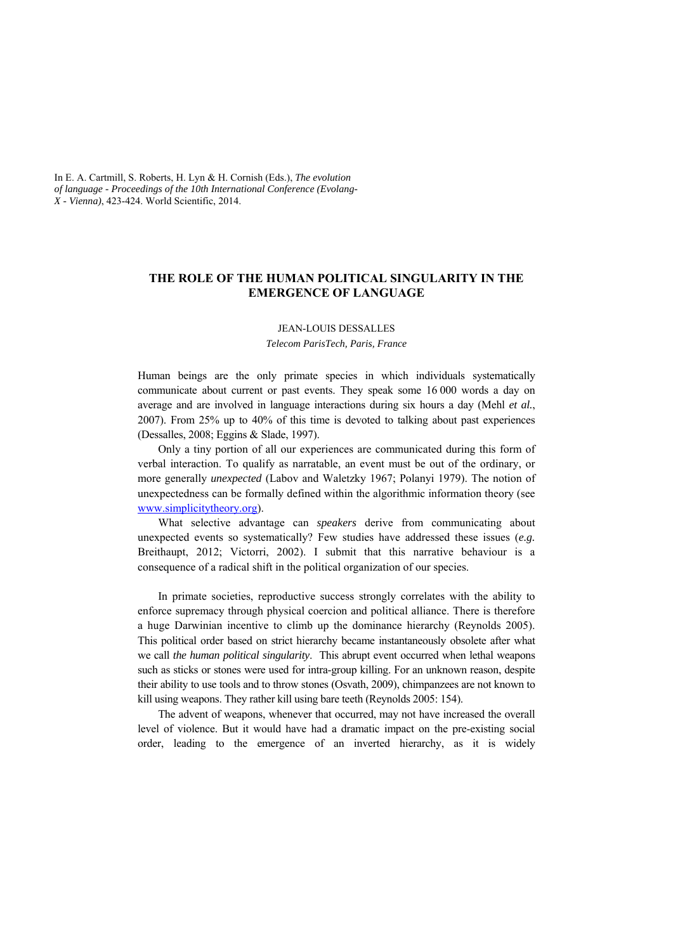In E. A. Cartmill, S. Roberts, H. Lyn & H. Cornish (Eds.), *The evolution of language - Proceedings of the 10th International Conference (Evolang-X - Vienna)*, 423-424. World Scientific, 2014.

## **THE ROLE OF THE HUMAN POLITICAL SINGULARITY IN THE EMERGENCE OF LANGUAGE**

## JEAN-LOUIS DESSALLES *Telecom ParisTech, Paris, France*

Human beings are the only primate species in which individuals systematically communicate about current or past events. They speak some 16 000 words a day on average and are involved in language interactions during six hours a day (Mehl *et al.*, 2007). From 25% up to 40% of this time is devoted to talking about past experiences (Dessalles, 2008; Eggins & Slade, 1997).

Only a tiny portion of all our experiences are communicated during this form of verbal interaction. To qualify as narratable, an event must be out of the ordinary, or more generally *unexpected* (Labov and Waletzky 1967; Polanyi 1979). The notion of unexpectedness can be formally defined within the algorithmic information theory (see www.simplicitytheory.org).

What selective advantage can *speakers* derive from communicating about unexpected events so systematically? Few studies have addressed these issues (*e.g.*  Breithaupt, 2012; Victorri, 2002). I submit that this narrative behaviour is a consequence of a radical shift in the political organization of our species.

In primate societies, reproductive success strongly correlates with the ability to enforce supremacy through physical coercion and political alliance. There is therefore a huge Darwinian incentive to climb up the dominance hierarchy (Reynolds 2005). This political order based on strict hierarchy became instantaneously obsolete after what we call *the human political singularity*. This abrupt event occurred when lethal weapons such as sticks or stones were used for intra-group killing. For an unknown reason, despite their ability to use tools and to throw stones (Osvath, 2009), chimpanzees are not known to kill using weapons. They rather kill using bare teeth (Reynolds 2005: 154).

The advent of weapons, whenever that occurred, may not have increased the overall level of violence. But it would have had a dramatic impact on the pre-existing social order, leading to the emergence of an inverted hierarchy, as it is widely